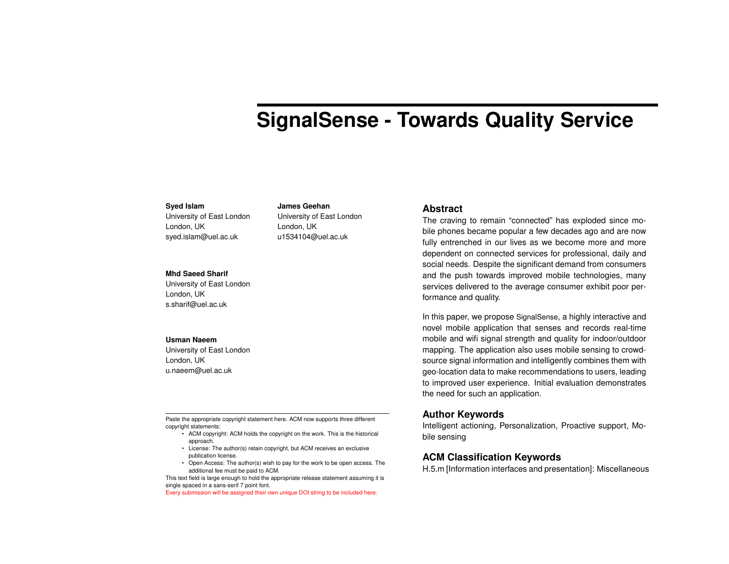# **SignalSense - Towards Quality Service**

#### **Syed Islam**

University of East London London, UK syed.islam@uel.ac.uk

#### **James Geehan** University of East London London, UK u1534104@uel.ac.uk

#### **Mhd Saeed Sharif**

University of East London London, UK s.sharif@uel.ac.uk

#### **Usman Naeem**

University of East London London, UK u.naeem@uel.ac.uk

Paste the appropriate copyright statement here. ACM now supports three different copyright statements:

- ACM copyright: ACM holds the copyright on the work. This is the historical approach.
- License: The author(s) retain copyright, but ACM receives an exclusive publication license.
- Open Access: The author(s) wish to pay for the work to be open access. The additional fee must be paid to ACM.

This text field is large enough to hold the appropriate release statement assuming it is single spaced in a sans-serif 7 point font.

Every submission will be assigned their own unique DOI string to be included here.

## **Abstract**

The craving to remain "connected" has exploded since mobile phones became popular a few decades ago and are now fully entrenched in our lives as we become more and more dependent on connected services for professional, daily and social needs. Despite the significant demand from consumers and the push towards improved mobile technologies, many services delivered to the average consumer exhibit poor performance and quality.

In this paper, we propose SignalSense, a highly interactive and novel mobile application that senses and records real-time mobile and wifi signal strength and quality for indoor/outdoor mapping. The application also uses mobile sensing to crowdsource signal information and intelligently combines them with geo-location data to make recommendations to users, leading to improved user experience. Initial evaluation demonstrates the need for such an application.

## **Author Keywords**

Intelligent actioning, Personalization, Proactive support, Mobile sensing

## **ACM Classification Keywords**

H.5.m [Information interfaces and presentation]: Miscellaneous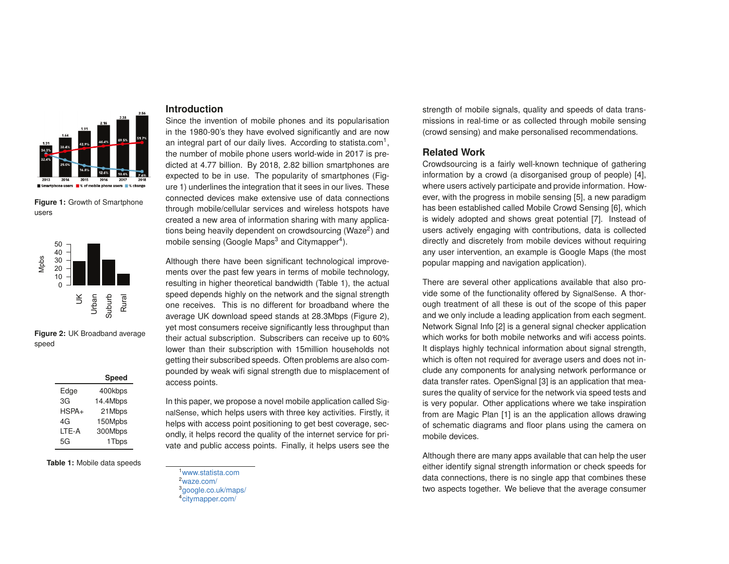

<span id="page-1-1"></span>**Figure 1: Growth of Smartphone** users



<span id="page-1-6"></span>**Figure 2:** UK Broadband average speed

|       | Speed    |
|-------|----------|
| Edge  | 400kbps  |
| 3G    | 14.4Mbps |
| HSPA+ | 21Mbps   |
| 4G    | 150Mpbs  |
| LTE-A | 300Mbps  |
| 5G    | 1 Tbps   |

<span id="page-1-5"></span>**Table 1:** Mobile data speeds

## **Introduction**

Since the invention of mobile phones and its popularisation in the 1980-90's they have evolved significantly and are now an integral part of our daily lives. According to statista.com<sup>1</sup>, the number of mobile phone users world-wide in 2017 is predicted at 4.77 billion. By 2018, 2.82 billion smartphones are expected to be in use. The popularity of smartphones (Figure [1\)](#page-1-1) underlines the integration that it sees in our lives. These connected devices make extensive use of data connections through mobile/cellular services and wireless hotspots have created a new area of information sharing with many applications being heavily dependent on crowdsourcing (Waze<sup>2</sup>) and mobile sensing (Google Maps $3$  and Citymapper<sup>4</sup>).

Although there have been significant technological improvements over the past few years in terms of mobile technology, resulting in higher theoretical bandwidth (Table [1\)](#page-1-5), the actual speed depends highly on the network and the signal strength one receives. This is no different for broadband where the average UK download speed stands at 28.3Mbps (Figure [2\)](#page-1-6), yet most consumers receive significantly less throughput than their actual subscription. Subscribers can receive up to 60% lower than their subscription with 15million households not getting their subscribed speeds. Often problems are also compounded by weak wifi signal strength due to misplacement of access points.

In this paper, we propose a novel mobile application called SignalSense, which helps users with three key activities. Firstly, it helps with access point positioning to get best coverage, secondly, it helps record the quality of the internet service for private and public access points. Finally, it helps users see the

<span id="page-1-4"></span><span id="page-1-3"></span><span id="page-1-2"></span><span id="page-1-0"></span>[1www.statista.com](www.statista.com) [2waze.com/](waze.com/) [3google.co.uk/maps/](google.co.uk/maps/) [4citymapper.com/](citymapper.com/)

strength of mobile signals, quality and speeds of data transmissions in real-time or as collected through mobile sensing (crowd sensing) and make personalised recommendations.

### **Related Work**

Crowdsourcing is a fairly well-known technique of gathering information by a crowd (a disorganised group of people) [\[4\]](#page-3-0), where users actively participate and provide information. However, with the progress in mobile sensing [\[5\]](#page-3-1), a new paradigm has been established called Mobile Crowd Sensing [\[6\]](#page-3-2), which is widely adopted and shows great potential [\[7\]](#page-3-3). Instead of users actively engaging with contributions, data is collected directly and discretely from mobile devices without requiring any user intervention, an example is Google Maps (the most popular mapping and navigation application).

There are several other applications available that also provide some of the functionality offered by SignalSense. A thorough treatment of all these is out of the scope of this paper and we only include a leading application from each segment. Network Signal Info [\[2\]](#page-3-4) is a general signal checker application which works for both mobile networks and wifi access points. It displays highly technical information about signal strength, which is often not required for average users and does not include any components for analysing network performance or data transfer rates. OpenSignal [\[3\]](#page-3-5) is an application that measures the quality of service for the network via speed tests and is very popular. Other applications where we take inspiration from are Magic Plan [\[1\]](#page-3-6) is an the application allows drawing of schematic diagrams and floor plans using the camera on mobile devices.

Although there are many apps available that can help the user either identify signal strength information or check speeds for data connections, there is no single app that combines these two aspects together. We believe that the average consumer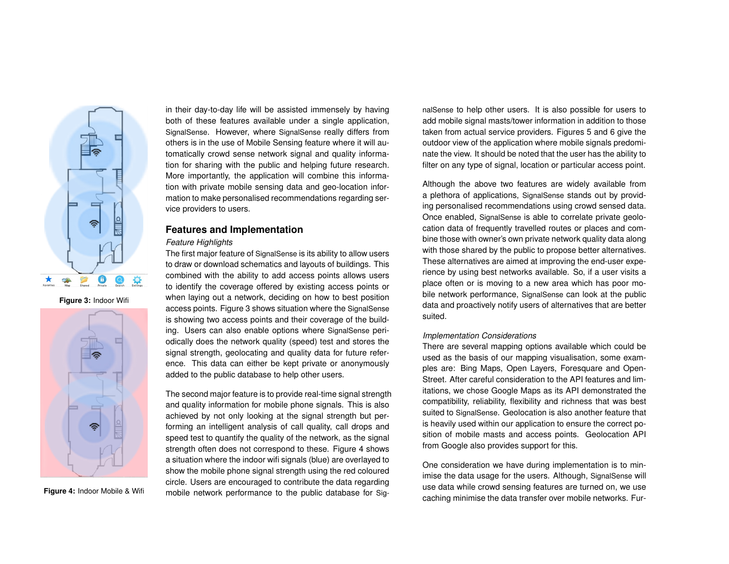

<span id="page-2-0"></span>**Figure 3:** Indoor Wifi



<span id="page-2-1"></span>**Figure 4:** Indoor Mobile & Wifi

in their day-to-day life will be assisted immensely by having both of these features available under a single application, SignalSense. However, where SignalSense really differs from others is in the use of Mobile Sensing feature where it will automatically crowd sense network signal and quality information for sharing with the public and helping future research. More importantly, the application will combine this information with private mobile sensing data and geo-location information to make personalised recommendations regarding service providers to users.

## **Features and Implementation**

#### *Feature Highlights*

The first major feature of SignalSense is its ability to allow users to draw or download schematics and layouts of buildings. This combined with the ability to add access points allows users to identify the coverage offered by existing access points or when laying out a network, deciding on how to best position access points. Figure [3](#page-2-0) shows situation where the SignalSense is showing two access points and their coverage of the building. Users can also enable options where SignalSense periodically does the network quality (speed) test and stores the signal strength, geolocating and quality data for future reference. This data can either be kept private or anonymously added to the public database to help other users.

The second major feature is to provide real-time signal strength and quality information for mobile phone signals. This is also achieved by not only looking at the signal strength but performing an intelligent analysis of call quality, call drops and speed test to quantify the quality of the network, as the signal strength often does not correspond to these. Figure [4](#page-2-1) shows a situation where the indoor wifi signals (blue) are overlayed to show the mobile phone signal strength using the red coloured circle. Users are encouraged to contribute the data regarding mobile network performance to the public database for SignalSense to help other users. It is also possible for users to add mobile signal masts/tower information in addition to those taken from actual service providers. Figures [5](#page-3-7) and [6](#page-3-8) give the outdoor view of the application where mobile signals predominate the view. It should be noted that the user has the ability to filter on any type of signal, location or particular access point.

Although the above two features are widely available from a plethora of applications, SignalSense stands out by providing personalised recommendations using crowd sensed data. Once enabled, SignalSense is able to correlate private geolocation data of frequently travelled routes or places and combine those with owner's own private network quality data along with those shared by the public to propose better alternatives. These alternatives are aimed at improving the end-user experience by using best networks available. So, if a user visits a place often or is moving to a new area which has poor mobile network performance, SignalSense can look at the public data and proactively notify users of alternatives that are better suited.

#### *Implementation Considerations*

There are several mapping options available which could be used as the basis of our mapping visualisation, some examples are: Bing Maps, Open Layers, Foresquare and Open-Street. After careful consideration to the API features and limitations, we chose Google Maps as its API demonstrated the compatibility, reliability, flexibility and richness that was best suited to SignalSense. Geolocation is also another feature that is heavily used within our application to ensure the correct position of mobile masts and access points. Geolocation API from Google also provides support for this.

One consideration we have during implementation is to minimise the data usage for the users. Although, SignalSense will use data while crowd sensing features are turned on, we use caching minimise the data transfer over mobile networks. Fur-